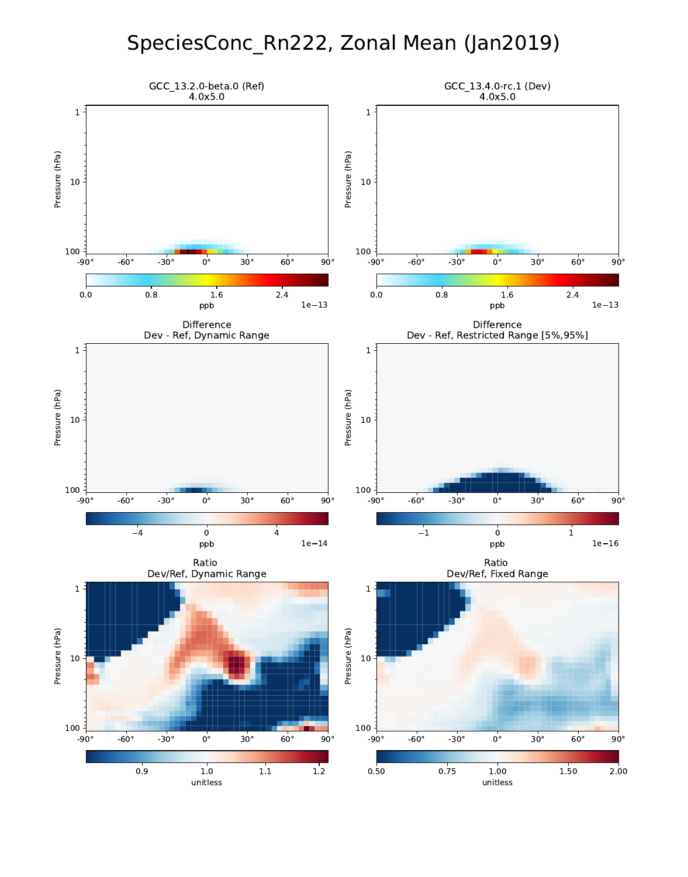# SpeciesConc\_Rn222, Zonal Mean (Jan2019)

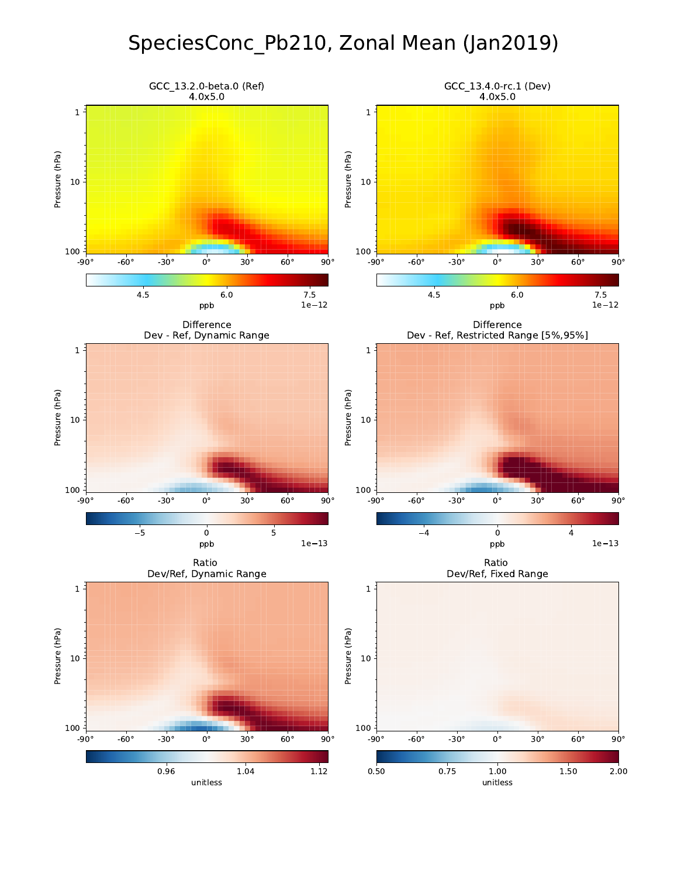# SpeciesConc\_Pb210, Zonal Mean (Jan2019)

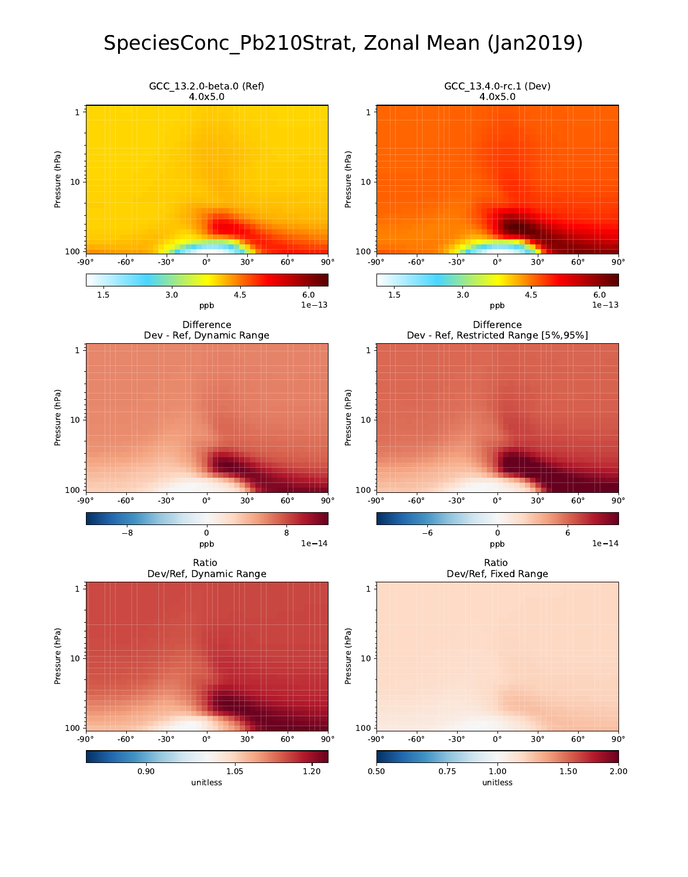# SpeciesConc\_Pb210Strat, Zonal Mean (Jan2019)

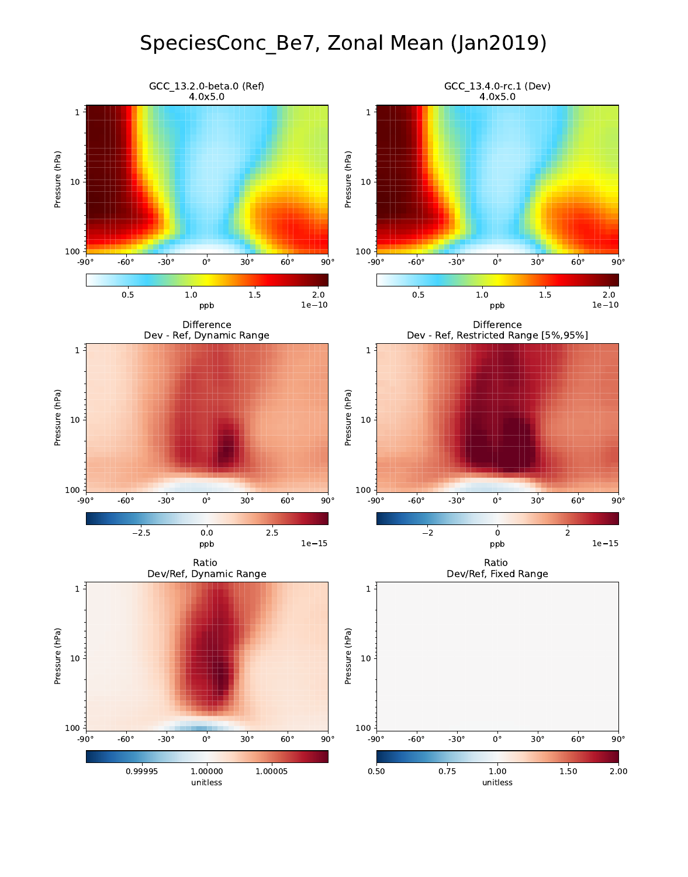# SpeciesConc\_Be7, Zonal Mean (Jan2019)

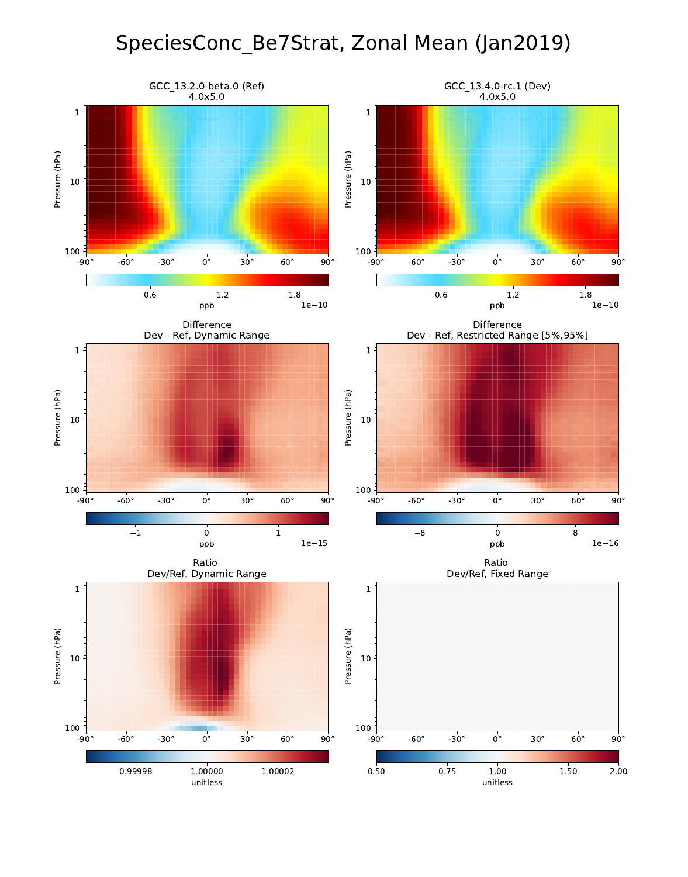# SpeciesConc\_Be7Strat, Zonal Mean (Jan2019)

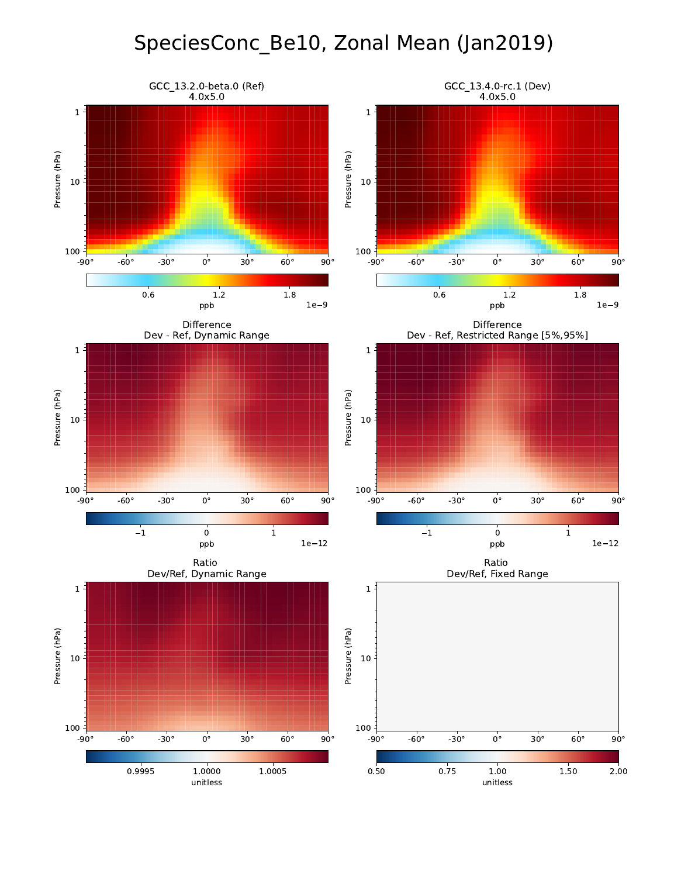# SpeciesConc\_Be10, Zonal Mean (Jan2019)